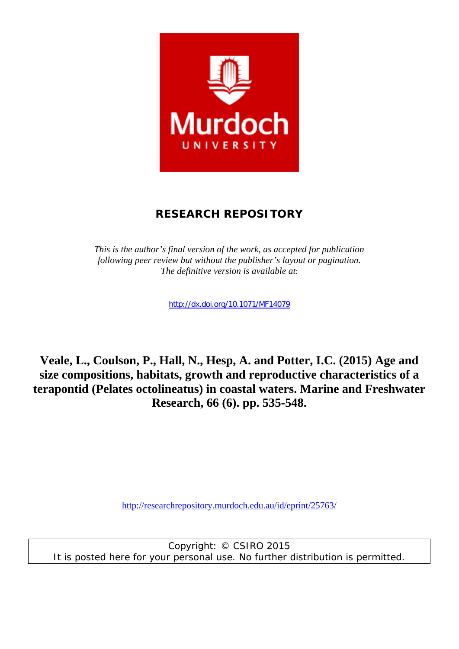

## **RESEARCH REPOSITORY**

*This is the author's final version of the work, as accepted for publication following peer review but without the publisher's layout or pagination. The definitive version is available at*:

http://dx.doi.org/10.1071/MF14079

**Veale, L., Coulson, P., Hall, N., Hesp, A. and Potter, I.C. (2015) Age and size compositions, habitats, growth and reproductive characteristics of a terapontid (Pelates octolineatus) in coastal waters. Marine and Freshwater Research, 66 (6). pp. 535-548.** 

http://researchrepository.murdoch.edu.au/id/eprint/25763/

Copyright: © CSIRO 2015 It is posted here for your personal use. No further distribution is permitted.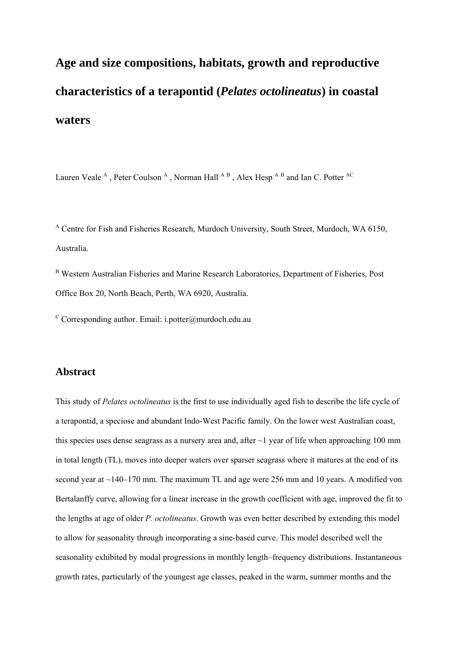# **Age and size compositions, habitats, growth and reproductive characteristics of a terapontid (***Pelates octolineatus***) in coastal waters**

Lauren Veale<sup>A</sup>, Peter Coulson<sup>A</sup>, Norman Hall<sup>AB</sup>, Alex Hesp<sup>AB</sup> and Ian C. Potter<sup>AC</sup>

A Centre for Fish and Fisheries Research, Murdoch University, South Street, Murdoch, WA 6150, Australia.

B Western Australian Fisheries and Marine Research Laboratories, Department of Fisheries, Post Office Box 20, North Beach, Perth, WA 6920, Australia.

 $\rm ^c$  Corresponding author. Email: i.potter@murdoch.edu.au

## **Abstract**

This study of *Pelates octolineatus* is the first to use individually aged fish to describe the life cycle of a terapontid, a speciose and abundant Indo-West Pacific family. On the lower west Australian coast, this species uses dense seagrass as a nursery area and, after  $\sim$ 1 year of life when approaching 100 mm in total length (TL), moves into deeper waters over sparser seagrass where it matures at the end of its second year at ~140–170 mm. The maximum TL and age were 256 mm and 10 years. A modified von Bertalanffy curve, allowing for a linear increase in the growth coefficient with age, improved the fit to the lengths at age of older *P. octolineatus*. Growth was even better described by extending this model to allow for seasonality through incorporating a sine-based curve. This model described well the seasonality exhibited by modal progressions in monthly length–frequency distributions. Instantaneous growth rates, particularly of the youngest age classes, peaked in the warm, summer months and the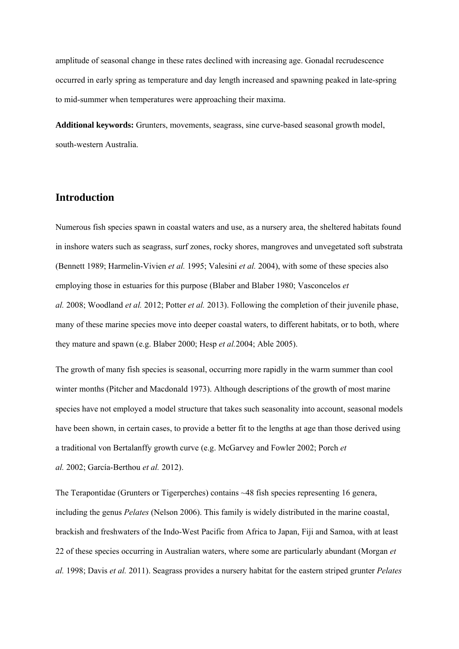amplitude of seasonal change in these rates declined with increasing age. Gonadal recrudescence occurred in early spring as temperature and day length increased and spawning peaked in late-spring to mid-summer when temperatures were approaching their maxima.

**Additional keywords:** Grunters, movements, seagrass, sine curve-based seasonal growth model, south-western Australia.

## **Introduction**

Numerous fish species spawn in coastal waters and use, as a nursery area, the sheltered habitats found in inshore waters such as seagrass, surf zones, rocky shores, mangroves and unvegetated soft substrata (Bennett 1989; Harmelin-Vivien *et al.* 1995; Valesini *et al.* 2004), with some of these species also employing those in estuaries for this purpose (Blaber and Blaber 1980; Vasconcelos *et al.* 2008; Woodland *et al.* 2012; Potter *et al.* 2013). Following the completion of their juvenile phase, many of these marine species move into deeper coastal waters, to different habitats, or to both, where they mature and spawn (e.g. Blaber 2000; Hesp *et al.*2004; Able 2005).

The growth of many fish species is seasonal, occurring more rapidly in the warm summer than cool winter months (Pitcher and Macdonald 1973). Although descriptions of the growth of most marine species have not employed a model structure that takes such seasonality into account, seasonal models have been shown, in certain cases, to provide a better fit to the lengths at age than those derived using a traditional von Bertalanffy growth curve (e.g. McGarvey and Fowler 2002; Porch *et al.* 2002; García-Berthou *et al.* 2012).

The Terapontidae (Grunters or Tigerperches) contains ~48 fish species representing 16 genera, including the genus *Pelates* (Nelson 2006). This family is widely distributed in the marine coastal, brackish and freshwaters of the Indo-West Pacific from Africa to Japan, Fiji and Samoa, with at least 22 of these species occurring in Australian waters, where some are particularly abundant (Morgan *et al.* 1998; Davis *et al.* 2011). Seagrass provides a nursery habitat for the eastern striped grunter *Pelates*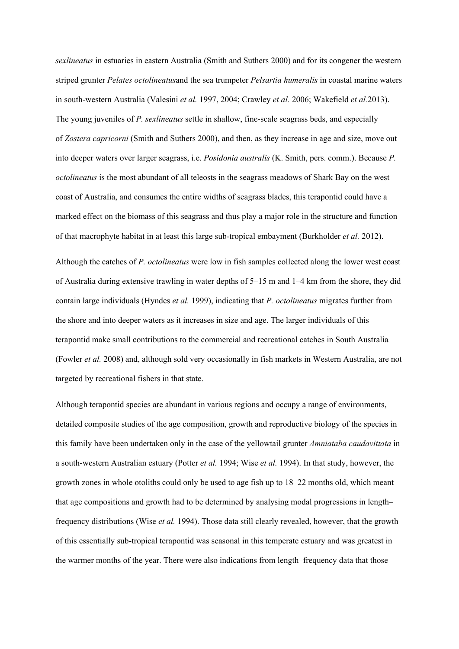*sexlineatus* in estuaries in eastern Australia (Smith and Suthers 2000) and for its congener the western striped grunter *Pelates octolineatus*and the sea trumpeter *Pelsartia humeralis* in coastal marine waters in south-western Australia (Valesini *et al.* 1997, 2004; Crawley *et al.* 2006; Wakefield *et al.*2013). The young juveniles of *P. sexlineatus* settle in shallow, fine-scale seagrass beds, and especially of *Zostera capricorni* (Smith and Suthers 2000), and then, as they increase in age and size, move out into deeper waters over larger seagrass, i.e. *Posidonia australis* (K. Smith, pers. comm.). Because *P. octolineatus* is the most abundant of all teleosts in the seagrass meadows of Shark Bay on the west coast of Australia, and consumes the entire widths of seagrass blades, this terapontid could have a marked effect on the biomass of this seagrass and thus play a major role in the structure and function of that macrophyte habitat in at least this large sub-tropical embayment (Burkholder *et al.* 2012).

Although the catches of *P. octolineatus* were low in fish samples collected along the lower west coast of Australia during extensive trawling in water depths of 5–15 m and 1–4 km from the shore, they did contain large individuals (Hyndes *et al.* 1999), indicating that *P. octolineatus* migrates further from the shore and into deeper waters as it increases in size and age. The larger individuals of this terapontid make small contributions to the commercial and recreational catches in South Australia (Fowler *et al.* 2008) and, although sold very occasionally in fish markets in Western Australia, are not targeted by recreational fishers in that state.

Although terapontid species are abundant in various regions and occupy a range of environments, detailed composite studies of the age composition, growth and reproductive biology of the species in this family have been undertaken only in the case of the yellowtail grunter *Amniataba caudavittata* in a south-western Australian estuary (Potter *et al.* 1994; Wise *et al.* 1994). In that study, however, the growth zones in whole otoliths could only be used to age fish up to 18–22 months old, which meant that age compositions and growth had to be determined by analysing modal progressions in length– frequency distributions (Wise *et al.* 1994). Those data still clearly revealed, however, that the growth of this essentially sub-tropical terapontid was seasonal in this temperate estuary and was greatest in the warmer months of the year. There were also indications from length–frequency data that those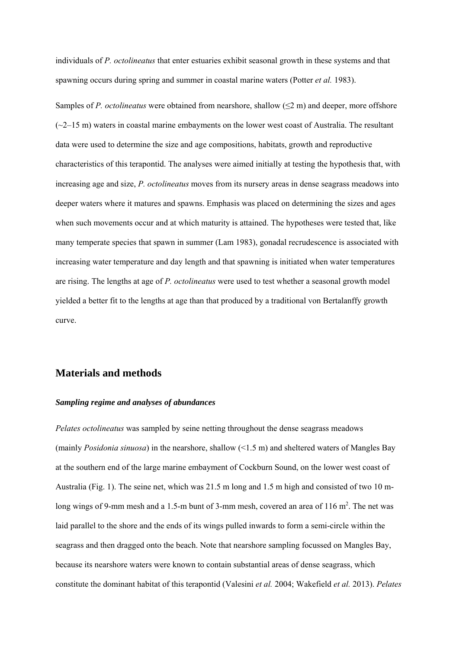individuals of *P. octolineatus* that enter estuaries exhibit seasonal growth in these systems and that spawning occurs during spring and summer in coastal marine waters (Potter *et al.* 1983).

Samples of *P. octolineatus* were obtained from nearshore, shallow (≤2 m) and deeper, more offshore  $(\sim2-15 \text{ m})$  waters in coastal marine embayments on the lower west coast of Australia. The resultant data were used to determine the size and age compositions, habitats, growth and reproductive characteristics of this terapontid. The analyses were aimed initially at testing the hypothesis that, with increasing age and size, *P. octolineatus* moves from its nursery areas in dense seagrass meadows into deeper waters where it matures and spawns. Emphasis was placed on determining the sizes and ages when such movements occur and at which maturity is attained. The hypotheses were tested that, like many temperate species that spawn in summer (Lam 1983), gonadal recrudescence is associated with increasing water temperature and day length and that spawning is initiated when water temperatures are rising. The lengths at age of *P. octolineatus* were used to test whether a seasonal growth model yielded a better fit to the lengths at age than that produced by a traditional von Bertalanffy growth curve.

## **Materials and methods**

#### *Sampling regime and analyses of abundances*

*Pelates octolineatus* was sampled by seine netting throughout the dense seagrass meadows (mainly *Posidonia sinuosa*) in the nearshore, shallow (<1.5 m) and sheltered waters of Mangles Bay at the southern end of the large marine embayment of Cockburn Sound, on the lower west coast of Australia (Fig. 1). The seine net, which was 21.5 m long and 1.5 m high and consisted of two 10 mlong wings of 9-mm mesh and a 1.5-m bunt of 3-mm mesh, covered an area of 116  $m<sup>2</sup>$ . The net was laid parallel to the shore and the ends of its wings pulled inwards to form a semi-circle within the seagrass and then dragged onto the beach. Note that nearshore sampling focussed on Mangles Bay, because its nearshore waters were known to contain substantial areas of dense seagrass, which constitute the dominant habitat of this terapontid (Valesini *et al.* 2004; Wakefield *et al.* 2013). *Pelates*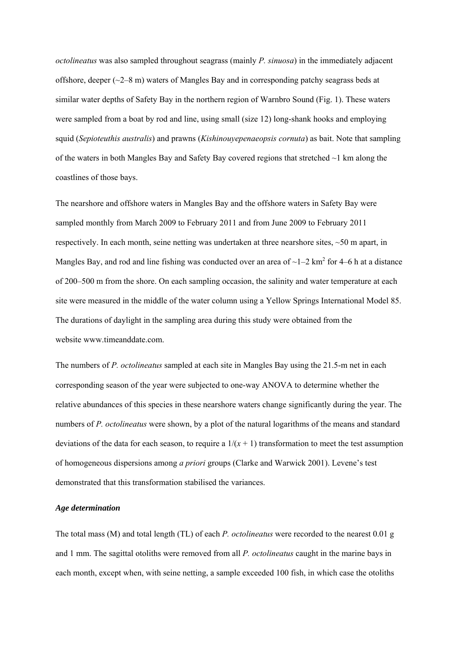*octolineatus* was also sampled throughout seagrass (mainly *P. sinuosa*) in the immediately adjacent offshore, deeper (~2–8 m) waters of Mangles Bay and in corresponding patchy seagrass beds at similar water depths of Safety Bay in the northern region of Warnbro Sound (Fig. 1). These waters were sampled from a boat by rod and line, using small (size 12) long-shank hooks and employing squid (*Sepioteuthis australis*) and prawns (*Kishinouyepenaeopsis cornuta*) as bait. Note that sampling of the waters in both Mangles Bay and Safety Bay covered regions that stretched ~1 km along the coastlines of those bays.

The nearshore and offshore waters in Mangles Bay and the offshore waters in Safety Bay were sampled monthly from March 2009 to February 2011 and from June 2009 to February 2011 respectively. In each month, seine netting was undertaken at three nearshore sites,  $\sim$ 50 m apart, in Mangles Bay, and rod and line fishing was conducted over an area of  $\sim$ 1–2 km<sup>2</sup> for 4–6 h at a distance of 200–500 m from the shore. On each sampling occasion, the salinity and water temperature at each site were measured in the middle of the water column using a Yellow Springs International Model 85. The durations of daylight in the sampling area during this study were obtained from the website www.timeanddate.com.

The numbers of *P. octolineatus* sampled at each site in Mangles Bay using the 21.5-m net in each corresponding season of the year were subjected to one-way ANOVA to determine whether the relative abundances of this species in these nearshore waters change significantly during the year. The numbers of *P. octolineatus* were shown, by a plot of the natural logarithms of the means and standard deviations of the data for each season, to require a  $1/(x + 1)$  transformation to meet the test assumption of homogeneous dispersions among *a priori* groups (Clarke and Warwick 2001). Levene's test demonstrated that this transformation stabilised the variances.

#### *Age determination*

The total mass (M) and total length (TL) of each *P. octolineatus* were recorded to the nearest 0.01 g and 1 mm. The sagittal otoliths were removed from all *P. octolineatus* caught in the marine bays in each month, except when, with seine netting, a sample exceeded 100 fish, in which case the otoliths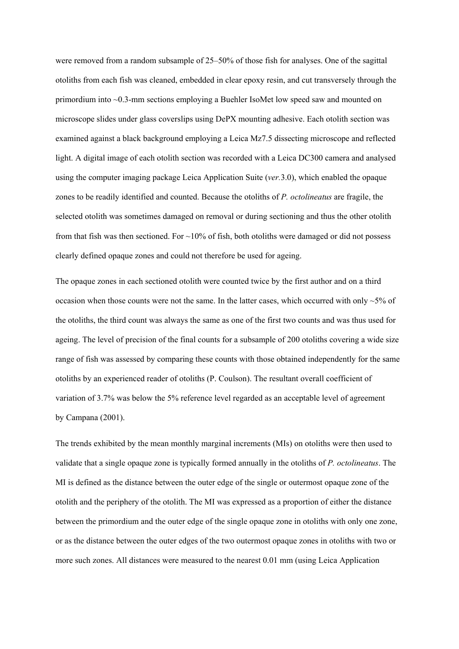were removed from a random subsample of 25–50% of those fish for analyses. One of the sagittal otoliths from each fish was cleaned, embedded in clear epoxy resin, and cut transversely through the primordium into ~0.3-mm sections employing a Buehler IsoMet low speed saw and mounted on microscope slides under glass coverslips using DePX mounting adhesive. Each otolith section was examined against a black background employing a Leica Mz7.5 dissecting microscope and reflected light. A digital image of each otolith section was recorded with a Leica DC300 camera and analysed using the computer imaging package Leica Application Suite (*ver.*3.0), which enabled the opaque zones to be readily identified and counted. Because the otoliths of *P. octolineatus* are fragile, the selected otolith was sometimes damaged on removal or during sectioning and thus the other otolith from that fish was then sectioned. For  $\sim$ 10% of fish, both otoliths were damaged or did not possess clearly defined opaque zones and could not therefore be used for ageing.

The opaque zones in each sectioned otolith were counted twice by the first author and on a third occasion when those counts were not the same. In the latter cases, which occurred with only  $\sim$ 5% of the otoliths, the third count was always the same as one of the first two counts and was thus used for ageing. The level of precision of the final counts for a subsample of 200 otoliths covering a wide size range of fish was assessed by comparing these counts with those obtained independently for the same otoliths by an experienced reader of otoliths (P. Coulson). The resultant overall coefficient of variation of 3.7% was below the 5% reference level regarded as an acceptable level of agreement by Campana (2001).

The trends exhibited by the mean monthly marginal increments (MIs) on otoliths were then used to validate that a single opaque zone is typically formed annually in the otoliths of *P. octolineatus*. The MI is defined as the distance between the outer edge of the single or outermost opaque zone of the otolith and the periphery of the otolith. The MI was expressed as a proportion of either the distance between the primordium and the outer edge of the single opaque zone in otoliths with only one zone, or as the distance between the outer edges of the two outermost opaque zones in otoliths with two or more such zones. All distances were measured to the nearest 0.01 mm (using Leica Application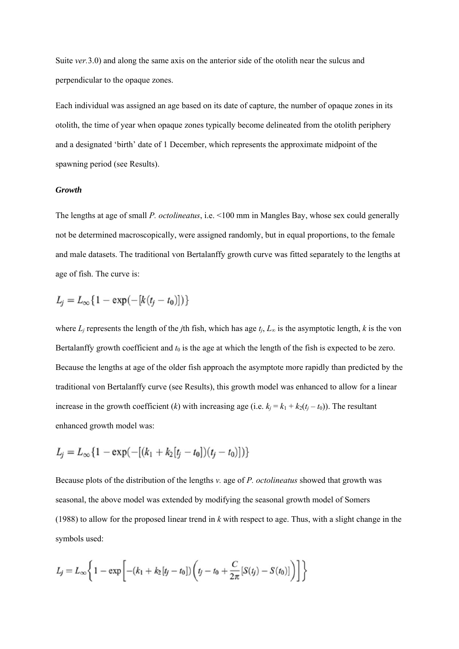Suite *ver.*3.0) and along the same axis on the anterior side of the otolith near the sulcus and perpendicular to the opaque zones.

Each individual was assigned an age based on its date of capture, the number of opaque zones in its otolith, the time of year when opaque zones typically become delineated from the otolith periphery and a designated 'birth' date of 1 December, which represents the approximate midpoint of the spawning period (see Results).

### *Growth*

The lengths at age of small *P. octolineatus*, i.e. <100 mm in Mangles Bay, whose sex could generally not be determined macroscopically, were assigned randomly, but in equal proportions, to the female and male datasets. The traditional von Bertalanffy growth curve was fitted separately to the lengths at age of fish. The curve is:

$$
L_j = L_{\infty} \{ 1 - \exp(-[k(t_j - t_0)]) \}
$$

where  $L_i$  represents the length of the *j*th fish, which has age  $t_i$ ,  $L_\infty$  is the asymptotic length, *k* is the von Bertalanffy growth coefficient and  $t_0$  is the age at which the length of the fish is expected to be zero. Because the lengths at age of the older fish approach the asymptote more rapidly than predicted by the traditional von Bertalanffy curve (see Results), this growth model was enhanced to allow for a linear increase in the growth coefficient (*k*) with increasing age (i.e.  $k_i = k_1 + k_2(t_i - t_0)$ ). The resultant enhanced growth model was:

$$
L_j = L_{\infty} \{ 1 - \exp(-[(k_1 + k_2[t_j - t_0])(t_j - t_0)]) \}
$$

Because plots of the distribution of the lengths *v.* age of *P. octolineatus* showed that growth was seasonal, the above model was extended by modifying the seasonal growth model of Somers (1988) to allow for the proposed linear trend in *k* with respect to age. Thus, with a slight change in the symbols used:

$$
L_j = L_{\infty} \bigg\{ 1 - \exp \bigg[ -(k_1 + k_2[t_j - t_0]) \bigg( t_j - t_0 + \frac{C}{2\pi} [S(t_j) - S(t_0)] \bigg) \bigg] \bigg\}
$$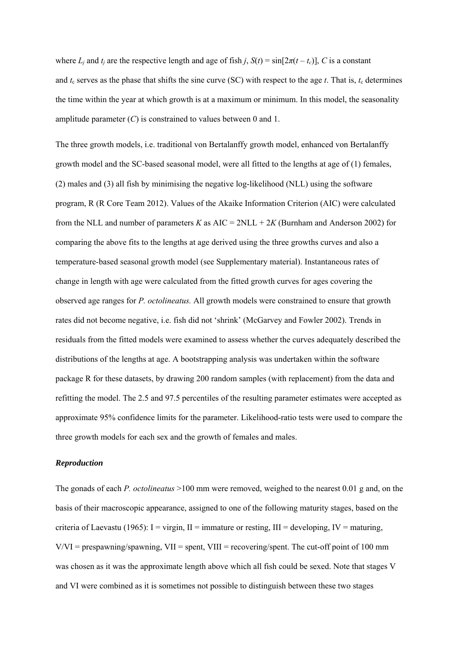where  $L_i$  and  $t_i$  are the respective length and age of fish *j*,  $S(t) = \sin[2\pi(t - t_c)]$ , *C* is a constant and  $t_c$  serves as the phase that shifts the sine curve (SC) with respect to the age  $t$ . That is,  $t_c$  determines the time within the year at which growth is at a maximum or minimum. In this model, the seasonality amplitude parameter (*C*) is constrained to values between 0 and 1.

The three growth models, i.e. traditional von Bertalanffy growth model, enhanced von Bertalanffy growth model and the SC-based seasonal model, were all fitted to the lengths at age of (1) females, (2) males and (3) all fish by minimising the negative log-likelihood (NLL) using the software program, R (R Core Team 2012). Values of the Akaike Information Criterion (AIC) were calculated from the NLL and number of parameters *K* as  $AIC = 2NLL + 2K$  (Burnham and Anderson 2002) for comparing the above fits to the lengths at age derived using the three growths curves and also a temperature-based seasonal growth model (see Supplementary material). Instantaneous rates of change in length with age were calculated from the fitted growth curves for ages covering the observed age ranges for *P. octolineatus.* All growth models were constrained to ensure that growth rates did not become negative, i.e. fish did not 'shrink' (McGarvey and Fowler 2002). Trends in residuals from the fitted models were examined to assess whether the curves adequately described the distributions of the lengths at age. A bootstrapping analysis was undertaken within the software package R for these datasets, by drawing 200 random samples (with replacement) from the data and refitting the model. The 2.5 and 97.5 percentiles of the resulting parameter estimates were accepted as approximate 95% confidence limits for the parameter. Likelihood-ratio tests were used to compare the three growth models for each sex and the growth of females and males.

#### *Reproduction*

The gonads of each *P. octolineatus* >100 mm were removed, weighed to the nearest 0.01 g and, on the basis of their macroscopic appearance, assigned to one of the following maturity stages, based on the criteria of Laevastu (1965): I = virgin, II = immature or resting, III = developing, IV = maturing,  $V/VI$  = prespawning/spawning,  $VII$  = spent,  $VIII$  = recovering/spent. The cut-off point of 100 mm was chosen as it was the approximate length above which all fish could be sexed. Note that stages V and VI were combined as it is sometimes not possible to distinguish between these two stages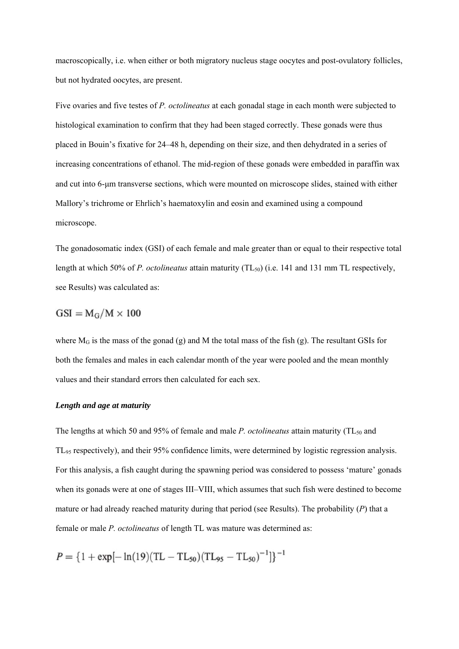macroscopically, i.e. when either or both migratory nucleus stage oocytes and post-ovulatory follicles, but not hydrated oocytes, are present.

Five ovaries and five testes of *P. octolineatus* at each gonadal stage in each month were subjected to histological examination to confirm that they had been staged correctly. These gonads were thus placed in Bouin's fixative for 24–48 h, depending on their size, and then dehydrated in a series of increasing concentrations of ethanol. The mid-region of these gonads were embedded in paraffin wax and cut into 6-μm transverse sections, which were mounted on microscope slides, stained with either Mallory's trichrome or Ehrlich's haematoxylin and eosin and examined using a compound microscope.

The gonadosomatic index (GSI) of each female and male greater than or equal to their respective total length at which 50% of *P. octolineatus* attain maturity (TL<sub>50</sub>) (i.e. 141 and 131 mm TL respectively, see Results) was calculated as:

$$
GSI = M_G/M \times 100
$$

where  $M_G$  is the mass of the gonad (g) and M the total mass of the fish (g). The resultant GSIs for both the females and males in each calendar month of the year were pooled and the mean monthly values and their standard errors then calculated for each sex.

#### *Length and age at maturity*

The lengths at which 50 and 95% of female and male *P. octolineatus* attain maturity (TL<sub>50</sub> and TL95 respectively), and their 95% confidence limits, were determined by logistic regression analysis. For this analysis, a fish caught during the spawning period was considered to possess 'mature' gonads when its gonads were at one of stages III–VIII, which assumes that such fish were destined to become mature or had already reached maturity during that period (see Results). The probability (*P*) that a female or male *P. octolineatus* of length TL was mature was determined as:

 $P = \{1 + \exp[-\ln(19)(\text{TL} - \text{TL}_{50})(\text{TL}_{95} - \text{TL}_{50})^{-1}]\}^{-1}$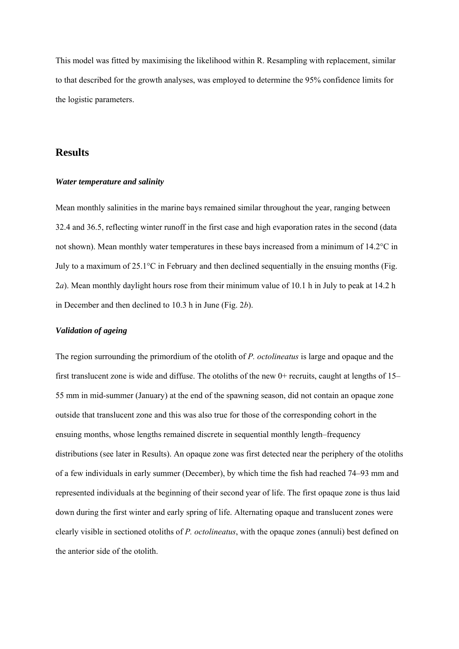This model was fitted by maximising the likelihood within R. Resampling with replacement, similar to that described for the growth analyses, was employed to determine the 95% confidence limits for the logistic parameters.

## **Results**

#### *Water temperature and salinity*

Mean monthly salinities in the marine bays remained similar throughout the year, ranging between 32.4 and 36.5, reflecting winter runoff in the first case and high evaporation rates in the second (data not shown). Mean monthly water temperatures in these bays increased from a minimum of 14.2°C in July to a maximum of 25.1°C in February and then declined sequentially in the ensuing months (Fig. 2*a*). Mean monthly daylight hours rose from their minimum value of 10.1 h in July to peak at 14.2 h in December and then declined to 10.3 h in June (Fig. 2*b*).

#### *Validation of ageing*

The region surrounding the primordium of the otolith of *P. octolineatus* is large and opaque and the first translucent zone is wide and diffuse. The otoliths of the new 0+ recruits, caught at lengths of 15– 55 mm in mid-summer (January) at the end of the spawning season, did not contain an opaque zone outside that translucent zone and this was also true for those of the corresponding cohort in the ensuing months, whose lengths remained discrete in sequential monthly length–frequency distributions (see later in Results). An opaque zone was first detected near the periphery of the otoliths of a few individuals in early summer (December), by which time the fish had reached 74–93 mm and represented individuals at the beginning of their second year of life. The first opaque zone is thus laid down during the first winter and early spring of life. Alternating opaque and translucent zones were clearly visible in sectioned otoliths of *P. octolineatus*, with the opaque zones (annuli) best defined on the anterior side of the otolith.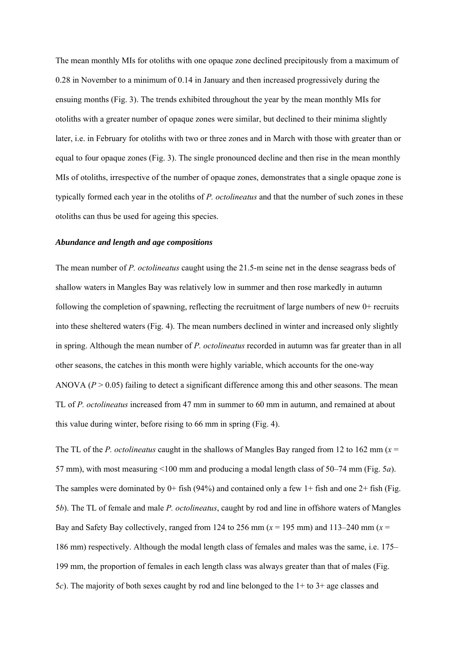The mean monthly MIs for otoliths with one opaque zone declined precipitously from a maximum of 0.28 in November to a minimum of 0.14 in January and then increased progressively during the ensuing months (Fig. 3). The trends exhibited throughout the year by the mean monthly MIs for otoliths with a greater number of opaque zones were similar, but declined to their minima slightly later, i.e. in February for otoliths with two or three zones and in March with those with greater than or equal to four opaque zones (Fig. 3). The single pronounced decline and then rise in the mean monthly MIs of otoliths, irrespective of the number of opaque zones, demonstrates that a single opaque zone is typically formed each year in the otoliths of *P. octolineatus* and that the number of such zones in these otoliths can thus be used for ageing this species.

#### *Abundance and length and age compositions*

The mean number of *P. octolineatus* caught using the 21.5-m seine net in the dense seagrass beds of shallow waters in Mangles Bay was relatively low in summer and then rose markedly in autumn following the completion of spawning, reflecting the recruitment of large numbers of new 0+ recruits into these sheltered waters (Fig. 4). The mean numbers declined in winter and increased only slightly in spring. Although the mean number of *P. octolineatus* recorded in autumn was far greater than in all other seasons, the catches in this month were highly variable, which accounts for the one-way ANOVA ( $P > 0.05$ ) failing to detect a significant difference among this and other seasons. The mean TL of *P. octolineatus* increased from 47 mm in summer to 60 mm in autumn, and remained at about this value during winter, before rising to 66 mm in spring (Fig. 4).

The TL of the *P. octolineatus* caught in the shallows of Mangles Bay ranged from 12 to 162 mm (*x* = 57 mm), with most measuring <100 mm and producing a modal length class of 50–74 mm (Fig. 5*a*). The samples were dominated by 0+ fish (94%) and contained only a few 1+ fish and one 2+ fish (Fig. 5*b*). The TL of female and male *P. octolineatus*, caught by rod and line in offshore waters of Mangles Bay and Safety Bay collectively, ranged from 124 to 256 mm  $(x = 195 \text{ mm})$  and 113–240 mm  $(x = 195 \text{ mm})$ 186 mm) respectively. Although the modal length class of females and males was the same, i.e. 175– 199 mm, the proportion of females in each length class was always greater than that of males (Fig. 5*c*). The majority of both sexes caught by rod and line belonged to the 1+ to 3+ age classes and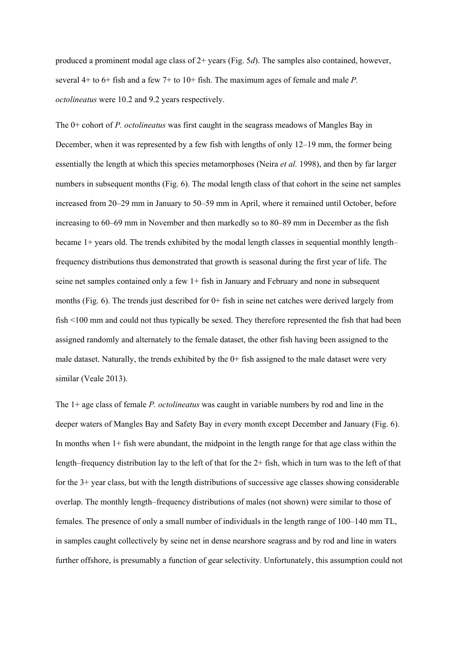produced a prominent modal age class of 2+ years (Fig. 5*d*). The samples also contained, however, several 4+ to 6+ fish and a few 7+ to 10+ fish. The maximum ages of female and male *P. octolineatus* were 10.2 and 9.2 years respectively.

The 0+ cohort of *P. octolineatus* was first caught in the seagrass meadows of Mangles Bay in December, when it was represented by a few fish with lengths of only 12–19 mm, the former being essentially the length at which this species metamorphoses (Neira *et al.* 1998), and then by far larger numbers in subsequent months (Fig. 6). The modal length class of that cohort in the seine net samples increased from 20–29 mm in January to 50–59 mm in April, where it remained until October, before increasing to 60–69 mm in November and then markedly so to 80–89 mm in December as the fish became 1+ years old. The trends exhibited by the modal length classes in sequential monthly length– frequency distributions thus demonstrated that growth is seasonal during the first year of life. The seine net samples contained only a few 1+ fish in January and February and none in subsequent months (Fig. 6). The trends just described for 0+ fish in seine net catches were derived largely from fish <100 mm and could not thus typically be sexed. They therefore represented the fish that had been assigned randomly and alternately to the female dataset, the other fish having been assigned to the male dataset. Naturally, the trends exhibited by the 0+ fish assigned to the male dataset were very similar (Veale 2013).

The 1+ age class of female *P. octolineatus* was caught in variable numbers by rod and line in the deeper waters of Mangles Bay and Safety Bay in every month except December and January (Fig. 6). In months when 1+ fish were abundant, the midpoint in the length range for that age class within the length–frequency distribution lay to the left of that for the 2+ fish, which in turn was to the left of that for the 3+ year class, but with the length distributions of successive age classes showing considerable overlap. The monthly length–frequency distributions of males (not shown) were similar to those of females. The presence of only a small number of individuals in the length range of 100–140 mm TL, in samples caught collectively by seine net in dense nearshore seagrass and by rod and line in waters further offshore, is presumably a function of gear selectivity. Unfortunately, this assumption could not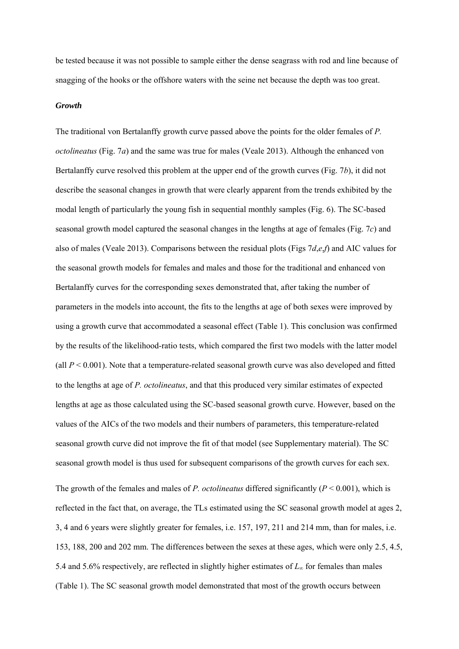be tested because it was not possible to sample either the dense seagrass with rod and line because of snagging of the hooks or the offshore waters with the seine net because the depth was too great.

#### *Growth*

The traditional von Bertalanffy growth curve passed above the points for the older females of *P. octolineatus* (Fig. 7*a*) and the same was true for males (Veale 2013). Although the enhanced von Bertalanffy curve resolved this problem at the upper end of the growth curves (Fig. 7*b*), it did not describe the seasonal changes in growth that were clearly apparent from the trends exhibited by the modal length of particularly the young fish in sequential monthly samples (Fig. 6). The SC-based seasonal growth model captured the seasonal changes in the lengths at age of females (Fig. 7*c*) and also of males (Veale 2013). Comparisons between the residual plots (Figs 7*d*,*e*,*f*) and AIC values for the seasonal growth models for females and males and those for the traditional and enhanced von Bertalanffy curves for the corresponding sexes demonstrated that, after taking the number of parameters in the models into account, the fits to the lengths at age of both sexes were improved by using a growth curve that accommodated a seasonal effect (Table 1). This conclusion was confirmed by the results of the likelihood-ratio tests, which compared the first two models with the latter model (all  $P < 0.001$ ). Note that a temperature-related seasonal growth curve was also developed and fitted to the lengths at age of *P. octolineatus*, and that this produced very similar estimates of expected lengths at age as those calculated using the SC-based seasonal growth curve. However, based on the values of the AICs of the two models and their numbers of parameters, this temperature-related seasonal growth curve did not improve the fit of that model (see Supplementary material). The SC seasonal growth model is thus used for subsequent comparisons of the growth curves for each sex. The growth of the females and males of *P. octolineatus* differed significantly (*P* < 0.001), which is reflected in the fact that, on average, the TLs estimated using the SC seasonal growth model at ages 2, 3, 4 and 6 years were slightly greater for females, i.e. 157, 197, 211 and 214 mm, than for males, i.e. 153, 188, 200 and 202 mm. The differences between the sexes at these ages, which were only 2.5, 4.5, 5.4 and 5.6% respectively, are reflected in slightly higher estimates of *L*∞ for females than males

(Table 1). The SC seasonal growth model demonstrated that most of the growth occurs between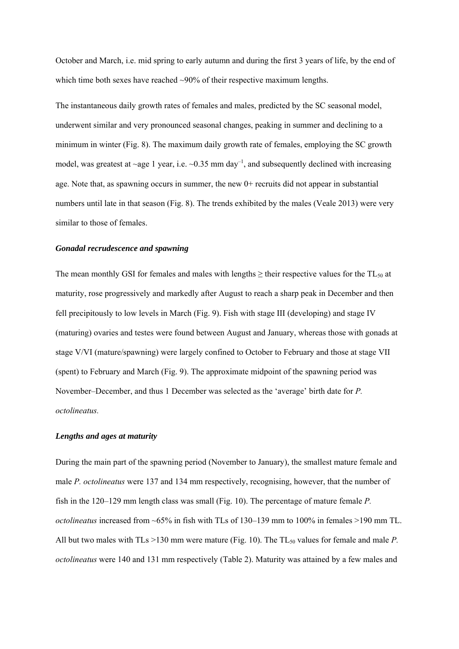October and March, i.e. mid spring to early autumn and during the first 3 years of life, by the end of which time both sexes have reached ~90% of their respective maximum lengths.

The instantaneous daily growth rates of females and males, predicted by the SC seasonal model, underwent similar and very pronounced seasonal changes, peaking in summer and declining to a minimum in winter (Fig. 8). The maximum daily growth rate of females, employing the SC growth model, was greatest at ~age 1 year, i.e.  $\sim 0.35$  mm day<sup>-1</sup>, and subsequently declined with increasing age. Note that, as spawning occurs in summer, the new  $0+$  recruits did not appear in substantial numbers until late in that season (Fig. 8). The trends exhibited by the males (Veale 2013) were very similar to those of females.

#### *Gonadal recrudescence and spawning*

The mean monthly GSI for females and males with lengths  $\geq$  their respective values for the TL<sub>50</sub> at maturity, rose progressively and markedly after August to reach a sharp peak in December and then fell precipitously to low levels in March (Fig. 9). Fish with stage III (developing) and stage IV (maturing) ovaries and testes were found between August and January, whereas those with gonads at stage V/VI (mature/spawning) were largely confined to October to February and those at stage VII (spent) to February and March (Fig. 9). The approximate midpoint of the spawning period was November–December, and thus 1 December was selected as the 'average' birth date for *P. octolineatus.*

#### *Lengths and ages at maturity*

During the main part of the spawning period (November to January), the smallest mature female and male *P. octolineatus* were 137 and 134 mm respectively, recognising, however, that the number of fish in the 120–129 mm length class was small (Fig. 10). The percentage of mature female *P. octolineatus* increased from ~65% in fish with TLs of 130–139 mm to 100% in females >190 mm TL. All but two males with TLs >130 mm were mature (Fig. 10). The TL<sub>50</sub> values for female and male *P*. *octolineatus* were 140 and 131 mm respectively (Table 2). Maturity was attained by a few males and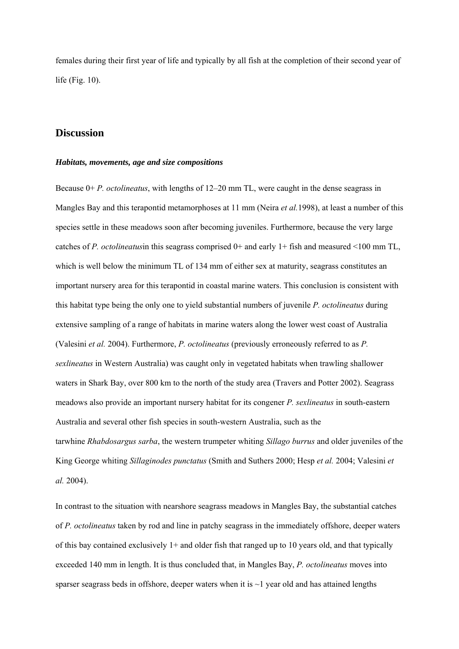females during their first year of life and typically by all fish at the completion of their second year of life (Fig. 10).

## **Discussion**

#### *Habitats, movements, age and size compositions*

Because 0+ *P. octolineatus*, with lengths of 12–20 mm TL, were caught in the dense seagrass in Mangles Bay and this terapontid metamorphoses at 11 mm (Neira *et al.*1998), at least a number of this species settle in these meadows soon after becoming juveniles. Furthermore, because the very large catches of *P. octolineatus*in this seagrass comprised 0+ and early 1+ fish and measured <100 mm TL, which is well below the minimum TL of 134 mm of either sex at maturity, seagrass constitutes an important nursery area for this terapontid in coastal marine waters. This conclusion is consistent with this habitat type being the only one to yield substantial numbers of juvenile *P. octolineatus* during extensive sampling of a range of habitats in marine waters along the lower west coast of Australia (Valesini *et al.* 2004). Furthermore, *P. octolineatus* (previously erroneously referred to as *P. sexlineatus* in Western Australia) was caught only in vegetated habitats when trawling shallower waters in Shark Bay, over 800 km to the north of the study area (Travers and Potter 2002). Seagrass meadows also provide an important nursery habitat for its congener *P. sexlineatus* in south-eastern Australia and several other fish species in south-western Australia, such as the tarwhine *Rhabdosargus sarba*, the western trumpeter whiting *Sillago burrus* and older juveniles of the King George whiting *Sillaginodes punctatus* (Smith and Suthers 2000; Hesp *et al.* 2004; Valesini *et al.* 2004).

In contrast to the situation with nearshore seagrass meadows in Mangles Bay, the substantial catches of *P. octolineatus* taken by rod and line in patchy seagrass in the immediately offshore, deeper waters of this bay contained exclusively 1+ and older fish that ranged up to 10 years old, and that typically exceeded 140 mm in length. It is thus concluded that, in Mangles Bay, *P. octolineatus* moves into sparser seagrass beds in offshore, deeper waters when it is  $\sim$ 1 year old and has attained lengths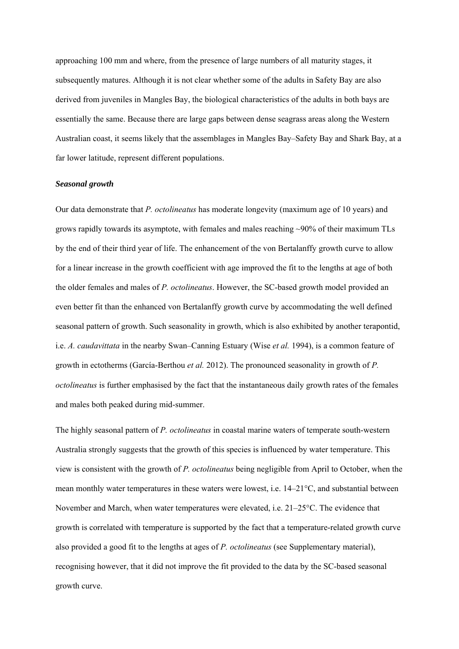approaching 100 mm and where, from the presence of large numbers of all maturity stages, it subsequently matures. Although it is not clear whether some of the adults in Safety Bay are also derived from juveniles in Mangles Bay, the biological characteristics of the adults in both bays are essentially the same. Because there are large gaps between dense seagrass areas along the Western Australian coast, it seems likely that the assemblages in Mangles Bay–Safety Bay and Shark Bay, at a far lower latitude, represent different populations.

#### *Seasonal growth*

Our data demonstrate that *P. octolineatus* has moderate longevity (maximum age of 10 years) and grows rapidly towards its asymptote, with females and males reaching ~90% of their maximum TLs by the end of their third year of life. The enhancement of the von Bertalanffy growth curve to allow for a linear increase in the growth coefficient with age improved the fit to the lengths at age of both the older females and males of *P. octolineatus*. However, the SC-based growth model provided an even better fit than the enhanced von Bertalanffy growth curve by accommodating the well defined seasonal pattern of growth. Such seasonality in growth, which is also exhibited by another terapontid, i.e. *A. caudavittata* in the nearby Swan–Canning Estuary (Wise *et al.* 1994), is a common feature of growth in ectotherms (García-Berthou *et al.* 2012). The pronounced seasonality in growth of *P. octolineatus* is further emphasised by the fact that the instantaneous daily growth rates of the females and males both peaked during mid-summer.

The highly seasonal pattern of *P. octolineatus* in coastal marine waters of temperate south-western Australia strongly suggests that the growth of this species is influenced by water temperature. This view is consistent with the growth of *P. octolineatus* being negligible from April to October, when the mean monthly water temperatures in these waters were lowest, i.e. 14–21°C, and substantial between November and March, when water temperatures were elevated, i.e. 21–25°C. The evidence that growth is correlated with temperature is supported by the fact that a temperature-related growth curve also provided a good fit to the lengths at ages of *P. octolineatus* (see Supplementary material), recognising however, that it did not improve the fit provided to the data by the SC-based seasonal growth curve.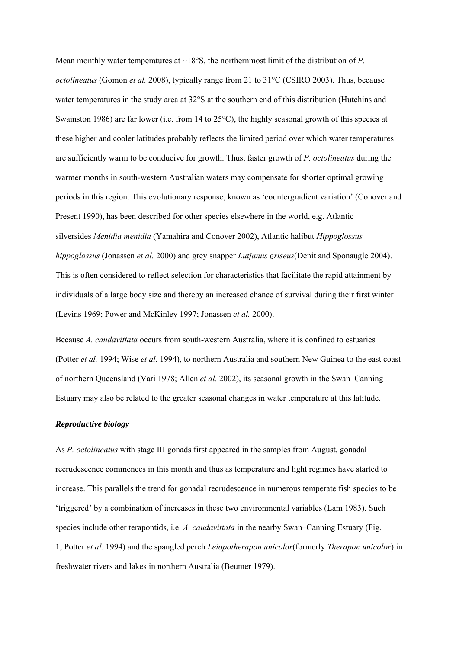Mean monthly water temperatures at ~18°S, the northernmost limit of the distribution of *P*. *octolineatus* (Gomon *et al.* 2008), typically range from 21 to 31°C (CSIRO 2003). Thus, because water temperatures in the study area at 32°S at the southern end of this distribution (Hutchins and Swainston 1986) are far lower (i.e. from 14 to  $25^{\circ}$ C), the highly seasonal growth of this species at these higher and cooler latitudes probably reflects the limited period over which water temperatures are sufficiently warm to be conducive for growth. Thus, faster growth of *P. octolineatus* during the warmer months in south-western Australian waters may compensate for shorter optimal growing periods in this region. This evolutionary response, known as 'countergradient variation' (Conover and Present 1990), has been described for other species elsewhere in the world, e.g. Atlantic silversides *Menidia menidia* (Yamahira and Conover 2002), Atlantic halibut *Hippoglossus hippoglossus* (Jonassen *et al.* 2000) and grey snapper *Lutjanus griseus*(Denit and Sponaugle 2004). This is often considered to reflect selection for characteristics that facilitate the rapid attainment by individuals of a large body size and thereby an increased chance of survival during their first winter (Levins 1969; Power and McKinley 1997; Jonassen *et al.* 2000).

Because *A. caudavittata* occurs from south-western Australia, where it is confined to estuaries (Potter *et al.* 1994; Wise *et al.* 1994), to northern Australia and southern New Guinea to the east coast of northern Queensland (Vari 1978; Allen *et al.* 2002), its seasonal growth in the Swan–Canning Estuary may also be related to the greater seasonal changes in water temperature at this latitude.

## *Reproductive biology*

As *P. octolineatus* with stage III gonads first appeared in the samples from August, gonadal recrudescence commences in this month and thus as temperature and light regimes have started to increase. This parallels the trend for gonadal recrudescence in numerous temperate fish species to be 'triggered' by a combination of increases in these two environmental variables (Lam 1983). Such species include other terapontids, i.e. *A. caudavittata* in the nearby Swan–Canning Estuary (Fig. 1; Potter *et al.* 1994) and the spangled perch *Leiopotherapon unicolor*(formerly *Therapon unicolor*) in freshwater rivers and lakes in northern Australia (Beumer 1979).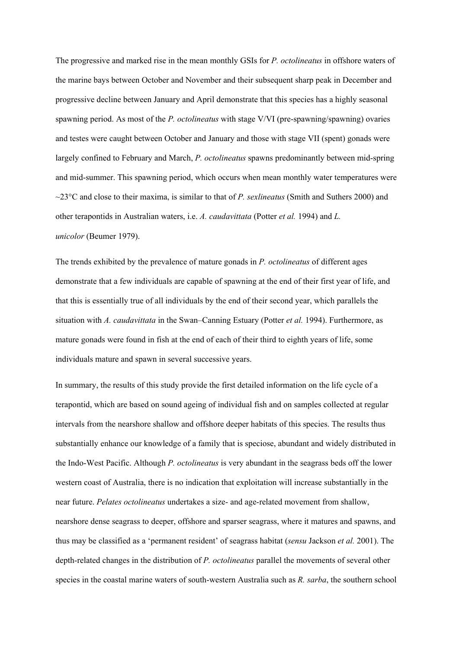The progressive and marked rise in the mean monthly GSIs for *P. octolineatus* in offshore waters of the marine bays between October and November and their subsequent sharp peak in December and progressive decline between January and April demonstrate that this species has a highly seasonal spawning period. As most of the *P. octolineatus* with stage V/VI (pre-spawning/spawning) ovaries and testes were caught between October and January and those with stage VII (spent) gonads were largely confined to February and March, *P. octolineatus* spawns predominantly between mid-spring and mid-summer. This spawning period, which occurs when mean monthly water temperatures were ~23°C and close to their maxima, is similar to that of *P. sexlineatus* (Smith and Suthers 2000) and other terapontids in Australian waters, i.e. *A. caudavittata* (Potter *et al.* 1994) and *L. unicolor* (Beumer 1979).

The trends exhibited by the prevalence of mature gonads in *P. octolineatus* of different ages demonstrate that a few individuals are capable of spawning at the end of their first year of life, and that this is essentially true of all individuals by the end of their second year, which parallels the situation with *A. caudavittata* in the Swan–Canning Estuary (Potter *et al.* 1994). Furthermore, as mature gonads were found in fish at the end of each of their third to eighth years of life, some individuals mature and spawn in several successive years.

In summary, the results of this study provide the first detailed information on the life cycle of a terapontid, which are based on sound ageing of individual fish and on samples collected at regular intervals from the nearshore shallow and offshore deeper habitats of this species. The results thus substantially enhance our knowledge of a family that is speciose, abundant and widely distributed in the Indo-West Pacific. Although *P. octolineatus* is very abundant in the seagrass beds off the lower western coast of Australia, there is no indication that exploitation will increase substantially in the near future. *Pelates octolineatus* undertakes a size- and age-related movement from shallow, nearshore dense seagrass to deeper, offshore and sparser seagrass, where it matures and spawns, and thus may be classified as a 'permanent resident' of seagrass habitat (*sensu* Jackson *et al.* 2001). The depth-related changes in the distribution of *P. octolineatus* parallel the movements of several other species in the coastal marine waters of south-western Australia such as *R. sarba*, the southern school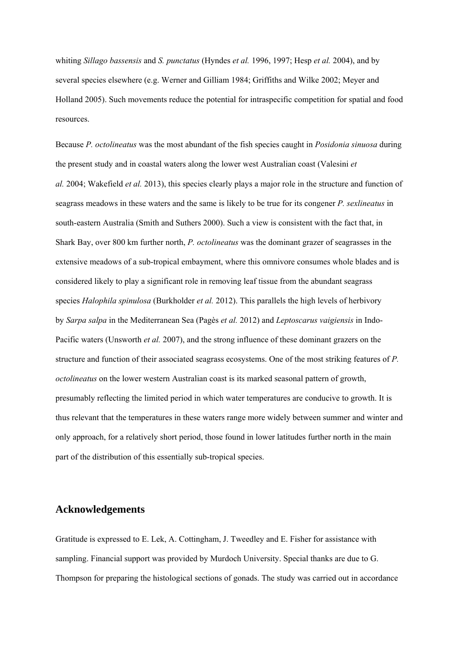whiting *Sillago bassensis* and *S. punctatus* (Hyndes *et al.* 1996, 1997; Hesp *et al.* 2004), and by several species elsewhere (e.g. Werner and Gilliam 1984; Griffiths and Wilke 2002; Meyer and Holland 2005). Such movements reduce the potential for intraspecific competition for spatial and food resources.

Because *P. octolineatus* was the most abundant of the fish species caught in *Posidonia sinuosa* during the present study and in coastal waters along the lower west Australian coast (Valesini *et al.* 2004; Wakefield *et al.* 2013), this species clearly plays a major role in the structure and function of seagrass meadows in these waters and the same is likely to be true for its congener *P. sexlineatus* in south-eastern Australia (Smith and Suthers 2000). Such a view is consistent with the fact that, in Shark Bay, over 800 km further north, *P. octolineatus* was the dominant grazer of seagrasses in the extensive meadows of a sub-tropical embayment, where this omnivore consumes whole blades and is considered likely to play a significant role in removing leaf tissue from the abundant seagrass species *Halophila spinulosa* (Burkholder *et al.* 2012). This parallels the high levels of herbivory by *Sarpa salpa* in the Mediterranean Sea (Pagès *et al.* 2012) and *Leptoscarus vaigiensis* in Indo-Pacific waters (Unsworth *et al.* 2007), and the strong influence of these dominant grazers on the structure and function of their associated seagrass ecosystems. One of the most striking features of *P. octolineatus* on the lower western Australian coast is its marked seasonal pattern of growth, presumably reflecting the limited period in which water temperatures are conducive to growth. It is thus relevant that the temperatures in these waters range more widely between summer and winter and only approach, for a relatively short period, those found in lower latitudes further north in the main part of the distribution of this essentially sub-tropical species.

## **Acknowledgements**

Gratitude is expressed to E. Lek, A. Cottingham, J. Tweedley and E. Fisher for assistance with sampling. Financial support was provided by Murdoch University. Special thanks are due to G. Thompson for preparing the histological sections of gonads. The study was carried out in accordance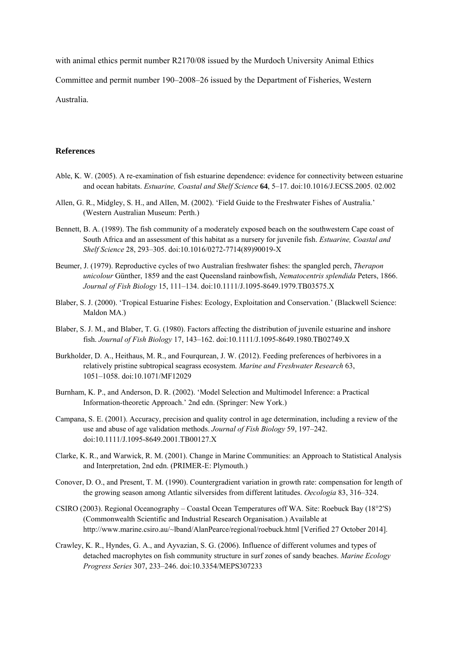with animal ethics permit number R2170/08 issued by the Murdoch University Animal Ethics Committee and permit number 190–2008–26 issued by the Department of Fisheries, Western Australia.

#### **References**

- Able, K. W. (2005). A re-examination of fish estuarine dependence: evidence for connectivity between estuarine and ocean habitats. *Estuarine, Coastal and Shelf Science* **64**, 5–17. doi:10.1016/J.ECSS.2005. 02.002
- Allen, G. R., Midgley, S. H., and AlIen, M. (2002). 'Field Guide to the Freshwater Fishes of Australia.' (Western Australian Museum: Perth.)
- Bennett, B. A. (1989). The fish community of a moderately exposed beach on the southwestern Cape coast of South Africa and an assessment of this habitat as a nursery for juvenile fish. *Estuarine, Coastal and Shelf Science* 28, 293–305. doi:10.1016/0272-7714(89)90019-X
- Beumer, J. (1979). Reproductive cycles of two Australian freshwater fishes: the spangled perch, *Therapon unicolour* Günther, 1859 and the east Queensland rainbowfish, *Nematocentris splendida* Peters, 1866. *Journal of Fish Biology* 15, 111–134. doi:10.1111/J.1095-8649.1979.TB03575.X
- Blaber, S. J. (2000). 'Tropical Estuarine Fishes: Ecology, Exploitation and Conservation.' (Blackwell Science: Maldon MA.)
- Blaber, S. J. M., and Blaber, T. G. (1980). Factors affecting the distribution of juvenile estuarine and inshore fish. *Journal of Fish Biology* 17, 143–162. doi:10.1111/J.1095-8649.1980.TB02749.X
- Burkholder, D. A., Heithaus, M. R., and Fourqurean, J. W. (2012). Feeding preferences of herbivores in a relatively pristine subtropical seagrass ecosystem. *Marine and Freshwater Research* 63, 1051–1058. doi:10.1071/MF12029
- Burnham, K. P., and Anderson, D. R. (2002). 'Model Selection and Multimodel Inference: a Practical Information-theoretic Approach.' 2nd edn. (Springer: New York.)
- Campana, S. E. (2001). Accuracy, precision and quality control in age determination, including a review of the use and abuse of age validation methods. *Journal of Fish Biology* 59, 197–242. doi:10.1111/J.1095-8649.2001.TB00127.X
- Clarke, K. R., and Warwick, R. M. (2001). Change in Marine Communities: an Approach to Statistical Analysis and Interpretation, 2nd edn. (PRIMER-E: Plymouth.)
- Conover, D. O., and Present, T. M. (1990). Countergradient variation in growth rate: compensation for length of the growing season among Atlantic silversides from different latitudes. *Oecologia* 83, 316–324.
- CSIRO (2003). Regional Oceanography Coastal Ocean Temperatures off WA. Site: Roebuck Bay (18°2′S) (Commonwealth Scientific and Industrial Research Organisation.) Available at http://www.marine.csiro.au/~lband/AlanPearce/regional/roebuck.html [Verified 27 October 2014].
- Crawley, K. R., Hyndes, G. A., and Ayvazian, S. G. (2006). Influence of different volumes and types of detached macrophytes on fish community structure in surf zones of sandy beaches. *Marine Ecology Progress Series* 307, 233–246. doi:10.3354/MEPS307233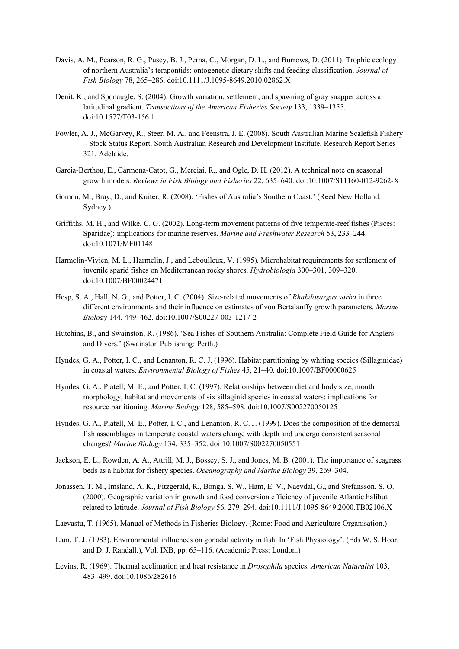- Davis, A. M., Pearson, R. G., Pusey, B. J., Perna, C., Morgan, D. L., and Burrows, D. (2011). Trophic ecology of northern Australia's terapontids: ontogenetic dietary shifts and feeding classification. *Journal of Fish Biology* 78, 265–286. doi:10.1111/J.1095-8649.2010.02862.X
- Denit, K., and Sponaugle, S. (2004). Growth variation, settlement, and spawning of gray snapper across a latitudinal gradient. *Transactions of the American Fisheries Society* 133, 1339–1355. doi:10.1577/T03-156.1
- Fowler, A. J., McGarvey, R., Steer, M. A., and Feenstra, J. E. (2008). South Australian Marine Scalefish Fishery – Stock Status Report. South Australian Research and Development Institute, Research Report Series 321, Adelaide.
- García-Berthou, E., Carmona-Catot, G., Merciai, R., and Ogle, D. H. (2012). A technical note on seasonal growth models. *Reviews in Fish Biology and Fisheries* 22, 635–640. doi:10.1007/S11160-012-9262-X
- Gomon, M., Bray, D., and Kuiter, R. (2008). 'Fishes of Australia's Southern Coast.' (Reed New Holland: Sydney.)
- Griffiths, M. H., and Wilke, C. G. (2002). Long-term movement patterns of five temperate-reef fishes (Pisces: Sparidae): implications for marine reserves. *Marine and Freshwater Research* 53, 233–244. doi:10.1071/MF01148
- Harmelin-Vivien, M. L., Harmelin, J., and Leboulleux, V. (1995). Microhabitat requirements for settlement of juvenile sparid fishes on Mediterranean rocky shores. *Hydrobiologia* 300–301, 309–320. doi:10.1007/BF00024471
- Hesp, S. A., Hall, N. G., and Potter, I. C. (2004). Size-related movements of *Rhabdosargus sarba* in three different environments and their influence on estimates of von Bertalanffy growth parameters. *Marine Biology* 144, 449–462. doi:10.1007/S00227-003-1217-2
- Hutchins, B., and Swainston, R. (1986). 'Sea Fishes of Southern Australia: Complete Field Guide for Anglers and Divers.' (Swainston Publishing: Perth.)
- Hyndes, G. A., Potter, I. C., and Lenanton, R. C. J. (1996). Habitat partitioning by whiting species (Sillaginidae) in coastal waters. *Environmental Biology of Fishes* 45, 21–40. doi:10.1007/BF00000625
- Hyndes, G. A., Platell, M. E., and Potter, I. C. (1997). Relationships between diet and body size, mouth morphology, habitat and movements of six sillaginid species in coastal waters: implications for resource partitioning. *Marine Biology* 128, 585–598. doi:10.1007/S002270050125
- Hyndes, G. A., Platell, M. E., Potter, I. C., and Lenanton, R. C. J. (1999). Does the composition of the demersal fish assemblages in temperate coastal waters change with depth and undergo consistent seasonal changes? *Marine Biology* 134, 335–352. doi:10.1007/S002270050551
- Jackson, E. L., Rowden, A. A., Attrill, M. J., Bossey, S. J., and Jones, M. B. (2001). The importance of seagrass beds as a habitat for fishery species. *Oceanography and Marine Biology* 39, 269–304.
- Jonassen, T. M., Imsland, A. K., Fitzgerald, R., Bonga, S. W., Ham, E. V., Naevdal, G., and Stefansson, S. O. (2000). Geographic variation in growth and food conversion efficiency of juvenile Atlantic halibut related to latitude. *Journal of Fish Biology* 56, 279–294. doi:10.1111/J.1095-8649.2000.TB02106.X
- Laevastu, T. (1965). Manual of Methods in Fisheries Biology. (Rome: Food and Agriculture Organisation.)
- Lam, T. J. (1983). Environmental influences on gonadal activity in fish. In 'Fish Physiology'. (Eds W. S. Hoar, and D. J. Randall.), Vol. IXB, pp. 65–116. (Academic Press: London.)
- Levins, R. (1969). Thermal acclimation and heat resistance in *Drosophila* species. *American Naturalist* 103, 483–499. doi:10.1086/282616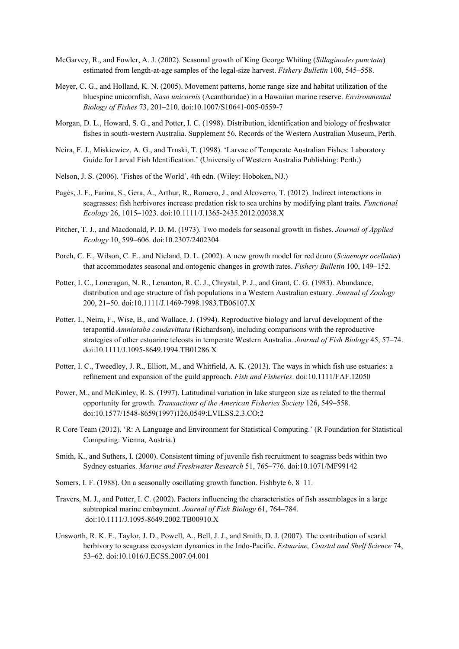- McGarvey, R., and Fowler, A. J. (2002). Seasonal growth of King George Whiting (*Sillaginodes punctata*) estimated from length-at-age samples of the legal-size harvest. *Fishery Bulletin* 100, 545–558.
- Meyer, C. G., and Holland, K. N. (2005). Movement patterns, home range size and habitat utilization of the bluespine unicornfish, *Naso unicornis* (Acanthuridae) in a Hawaiian marine reserve. *Environmental Biology of Fishes* 73, 201–210. doi:10.1007/S10641-005-0559-7
- Morgan, D. L., Howard, S. G., and Potter, I. C. (1998). Distribution, identification and biology of freshwater fishes in south-western Australia. Supplement 56, Records of the Western Australian Museum, Perth.
- Neira, F. J., Miskiewicz, A. G., and Trnski, T. (1998). 'Larvae of Temperate Australian Fishes: Laboratory Guide for Larval Fish Identification.' (University of Western Australia Publishing: Perth.)
- Nelson, J. S. (2006). 'Fishes of the World', 4th edn. (Wiley: Hoboken, NJ.)
- Pagès, J. F., Farina, S., Gera, A., Arthur, R., Romero, J., and Alcoverro, T. (2012). Indirect interactions in seagrasses: fish herbivores increase predation risk to sea urchins by modifying plant traits. *Functional Ecology* 26, 1015–1023. doi:10.1111/J.1365-2435.2012.02038.X
- Pitcher, T. J., and Macdonald, P. D. M. (1973). Two models for seasonal growth in fishes. *Journal of Applied Ecology* 10, 599–606. doi:10.2307/2402304
- Porch, C. E., Wilson, C. E., and Nieland, D. L. (2002). A new growth model for red drum (*Sciaenops ocellatus*) that accommodates seasonal and ontogenic changes in growth rates. *Fishery Bulletin* 100, 149–152.
- Potter, I. C., Loneragan, N. R., Lenanton, R. C. J., Chrystal, P. J., and Grant, C. G. (1983). Abundance, distribution and age structure of fish populations in a Western Australian estuary. *Journal of Zoology* 200, 21–50. doi:10.1111/J.1469-7998.1983.TB06107.X
- Potter, I., Neira, F., Wise, B., and Wallace, J. (1994). Reproductive biology and larval development of the terapontid *Amniataba caudavittata* (Richardson), including comparisons with the reproductive strategies of other estuarine teleosts in temperate Western Australia. *Journal of Fish Biology* 45, 57–74. doi:10.1111/J.1095-8649.1994.TB01286.X
- Potter, I. C., Tweedley, J. R., Elliott, M., and Whitfield, A. K. (2013). The ways in which fish use estuaries: a refinement and expansion of the guild approach. *Fish and Fisheries*. doi:10.1111/FAF.12050
- Power, M., and McKinley, R. S. (1997). Latitudinal variation in lake sturgeon size as related to the thermal opportunity for growth. *Transactions of the American Fisheries Society* 126, 549–558. doi:10.1577/1548-8659(1997)126,0549:LVILSS.2.3.CO;2
- R Core Team (2012). 'R: A Language and Environment for Statistical Computing.' (R Foundation for Statistical Computing: Vienna, Austria.)
- Smith, K., and Suthers, I. (2000). Consistent timing of juvenile fish recruitment to seagrass beds within two Sydney estuaries. *Marine and Freshwater Research* 51, 765–776. doi:10.1071/MF99142
- Somers, I. F. (1988). On a seasonally oscillating growth function. Fishbyte 6, 8–11.
- Travers, M. J., and Potter, I. C. (2002). Factors influencing the characteristics of fish assemblages in a large subtropical marine embayment. *Journal of Fish Biology* 61, 764–784. doi:10.1111/J.1095-8649.2002.TB00910.X
- Unsworth, R. K. F., Taylor, J. D., Powell, A., Bell, J. J., and Smith, D. J. (2007). The contribution of scarid herbivory to seagrass ecosystem dynamics in the Indo-Pacific. *Estuarine, Coastal and Shelf Science* 74, 53–62. doi:10.1016/J.ECSS.2007.04.001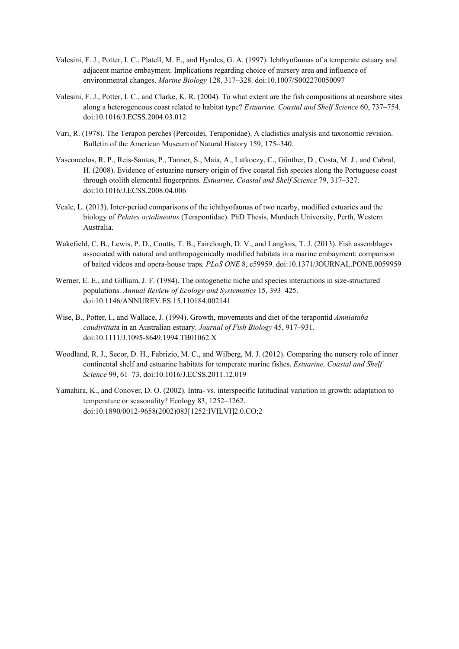- Valesini, F. J., Potter, I. C., Platell, M. E., and Hyndes, G. A. (1997). Ichthyofaunas of a temperate estuary and adjacent marine embayment. Implications regarding choice of nursery area and influence of environmental changes. *Marine Biology* 128, 317–328. doi:10.1007/S002270050097
- Valesini, F. J., Potter, I. C., and Clarke, K. R. (2004). To what extent are the fish compositions at nearshore sites along a heterogeneous coast related to habitat type? *Estuarine, Coastal and Shelf Science* 60, 737–754. doi:10.1016/J.ECSS.2004.03.012
- Vari, R. (1978). The Terapon perches (Percoidei, Teraponidae). A cladistics analysis and taxonomic revision. Bulletin of the American Museum of Natural History 159, 175–340.
- Vasconcelos, R. P., Reis-Santos, P., Tanner, S., Maia, A., Latkoczy, C., Günther, D., Costa, M. J., and Cabral, H. (2008). Evidence of estuarine nursery origin of five coastal fish species along the Portuguese coast through otolith elemental fingerprints. *Estuarine, Coastal and Shelf Science* 79, 317–327. doi:10.1016/J.ECSS.2008.04.006
- Veale, L. (2013). Inter-period comparisons of the ichthyofaunas of two nearby, modified estuaries and the biology of *Pelates octolineatus* (Terapontidae). PhD Thesis, Murdoch University, Perth, Western Australia.
- Wakefield, C. B., Lewis, P. D., Coutts, T. B., Fairclough, D. V., and Langlois, T. J. (2013). Fish assemblages associated with natural and anthropogenically modified habitats in a marine embayment: comparison of baited videos and opera-house traps*. PLoS ONE* 8, e59959. doi:10.1371/JOURNAL.PONE.0059959
- Werner, E. E., and Gilliam, J. F. (1984). The ontogenetic niche and species interactions in size-structured populations. *Annual Review of Ecology and Systematics* 15, 393–425. doi:10.1146/ANNUREV.ES.15.110184.002141
- Wise, B., Potter, I., and Wallace, J. (1994). Growth, movements and diet of the terapontid *Amniataba caudivittat*a in an Australian estuary. *Journal of Fish Biology* 45, 917–931. doi:10.1111/J.1095-8649.1994.TB01062.X
- Woodland, R. J., Secor, D. H., Fabrizio, M. C., and Wilberg, M. J. (2012). Comparing the nursery role of inner continental shelf and estuarine habitats for temperate marine fishes. *Estuarine, Coastal and Shelf Science* 99, 61–73. doi:10.1016/J.ECSS.2011.12.019
- Yamahira, K., and Conover, D. O. (2002). Intra- vs. interspecific latitudinal variation in growth: adaptation to temperature or seasonality? Ecology 83, 1252–1262. doi:10.1890/0012-9658(2002)083[1252:IVILVI]2.0.CO;2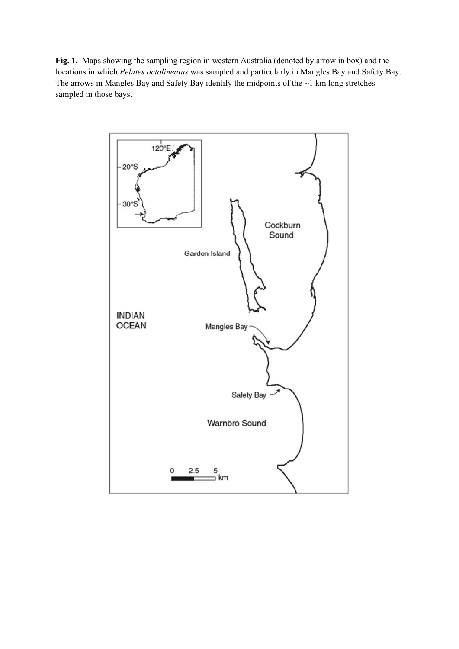**Fig. 1.** Maps showing the sampling region in western Australia (denoted by arrow in box) and the locations in which *Pelates octolineatus* was sampled and particularly in Mangles Bay and Safety Bay. The arrows in Mangles Bay and Safety Bay identify the midpoints of the  $\sim$ 1 km long stretches sampled in those bays.

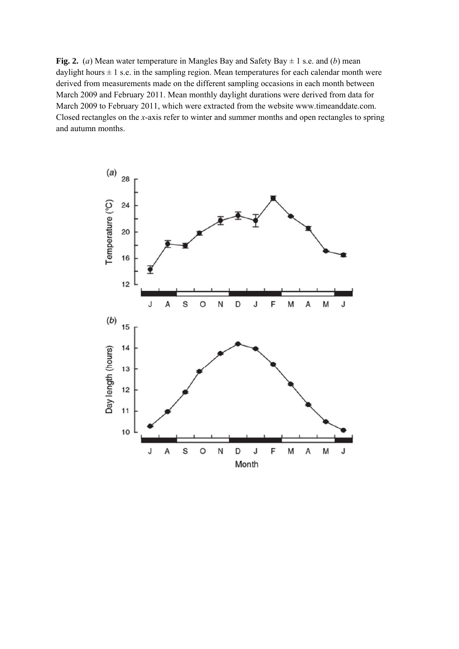**Fig. 2.** (*a*) Mean water temperature in Mangles Bay and Safety Bay  $\pm$  1 s.e. and (*b*) mean daylight hours  $\pm 1$  s.e. in the sampling region. Mean temperatures for each calendar month were derived from measurements made on the different sampling occasions in each month between March 2009 and February 2011. Mean monthly daylight durations were derived from data for March 2009 to February 2011, which were extracted from the website www.timeanddate.com. Closed rectangles on the *x*-axis refer to winter and summer months and open rectangles to spring and autumn months.

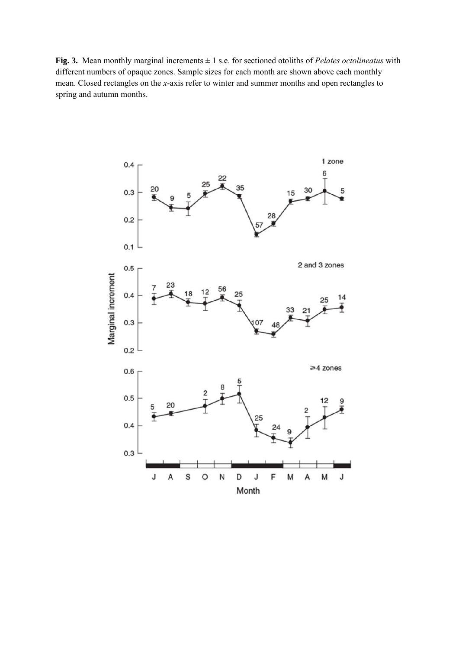**Fig. 3.** Mean monthly marginal increments ± 1 s.e. for sectioned otoliths of *Pelates octolineatus* with different numbers of opaque zones. Sample sizes for each month are shown above each monthly mean. Closed rectangles on the *x*-axis refer to winter and summer months and open rectangles to spring and autumn months.

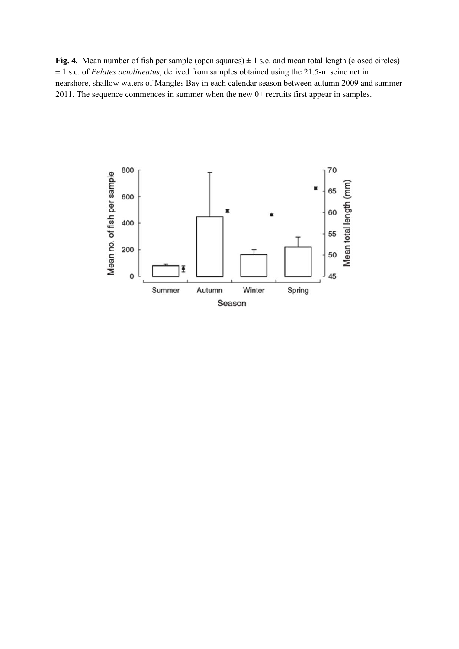**Fig. 4.** Mean number of fish per sample (open squares)  $\pm$  1 s.e. and mean total length (closed circles) ± 1 s.e. of *Pelates octolineatus*, derived from samples obtained using the 21.5-m seine net in nearshore, shallow waters of Mangles Bay in each calendar season between autumn 2009 and summer 2011. The sequence commences in summer when the new 0+ recruits first appear in samples.

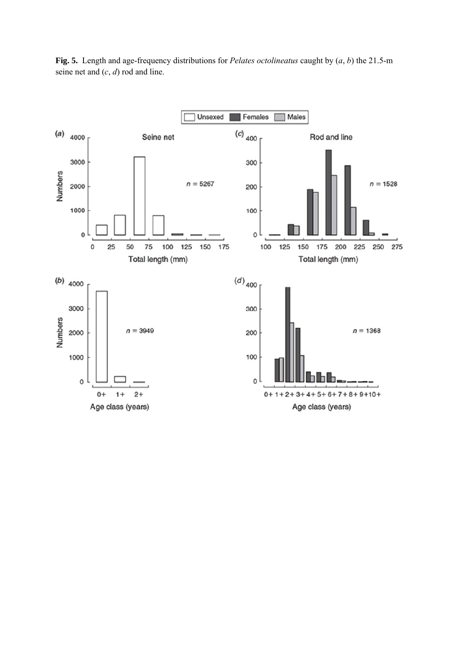Unsexed Females Males  $(c)$  <sub>400</sub>  $(a)$ 4000 Seine net Rod and line 3000 300 **Numbers**  $n = 1528$  $n = 5267$ 2000 200 1000 100  $\mathbf 0$  $\mathbf{o}$ 25 50 75 100 125 150 175 100 125 150 175 200 225 250 275  $\mathbf 0$ Total length (mm) Total length (mm)  $\left(d\right)_{400}$ (b)  $4000$ 3000 300 Numbers  $n = 3949$  $n = 1368$ 2000 200 100 1000  $\mathbf 0$  $\circ$  $0+$  $1+$  $^{2+}$  $0+1+2+3+4+5+6+7+8+9+10+$ Age class (years) Age class (years)

**Fig. 5.** Length and age-frequency distributions for *Pelates octolineatus* caught by (*a*, *b*) the 21.5-m seine net and (*c*, *d*) rod and line.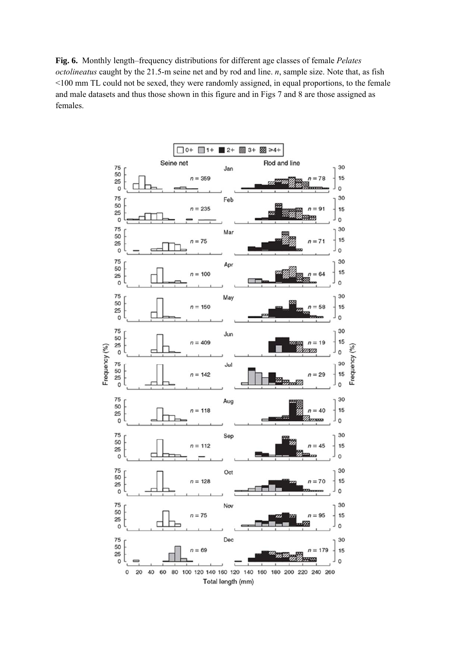**Fig. 6.** Monthly length–frequency distributions for different age classes of female *Pelates octolineatus* caught by the 21.5-m seine net and by rod and line. *n*, sample size. Note that, as fish <100 mm TL could not be sexed, they were randomly assigned, in equal proportions, to the female and male datasets and thus those shown in this figure and in Figs 7 and 8 are those assigned as females.

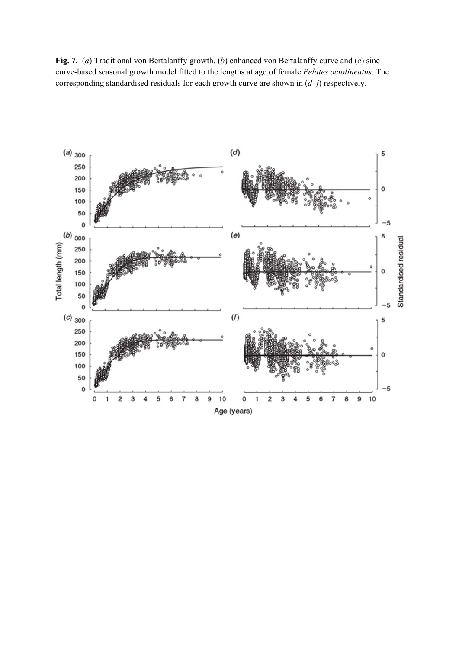**Fig. 7.** (*a*) Traditional von Bertalanffy growth, (*b*) enhanced von Bertalanffy curve and (*c*) sine curve-based seasonal growth model fitted to the lengths at age of female *Pelates octolineatus*. The corresponding standardised residuals for each growth curve are shown in (*d*–*f*) respectively.

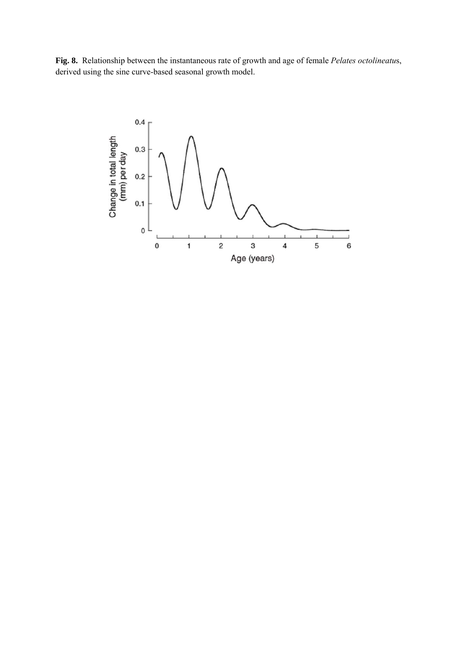**Fig. 8.** Relationship between the instantaneous rate of growth and age of female *Pelates octolineatu*s, derived using the sine curve-based seasonal growth model.

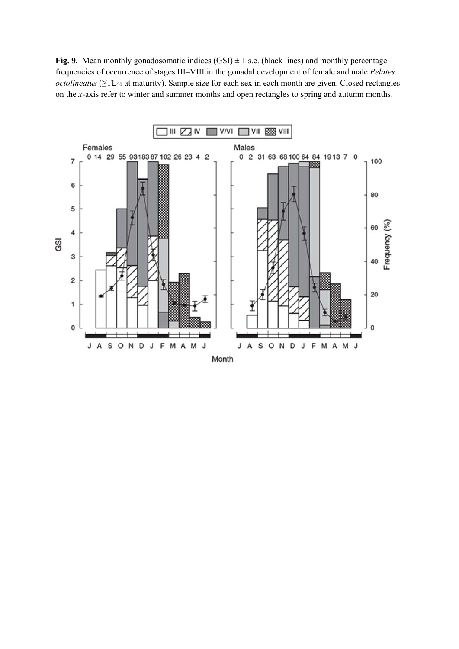**Fig. 9.** Mean monthly gonadosomatic indices  $(GSI) \pm 1$  s.e. (black lines) and monthly percentage frequencies of occurrence of stages III–VIII in the gonadal development of female and male *Pelates octolineatus* (≥TL<sub>50</sub> at maturity). Sample size for each sex in each month are given. Closed rectangles on the *x*-axis refer to winter and summer months and open rectangles to spring and autumn months.

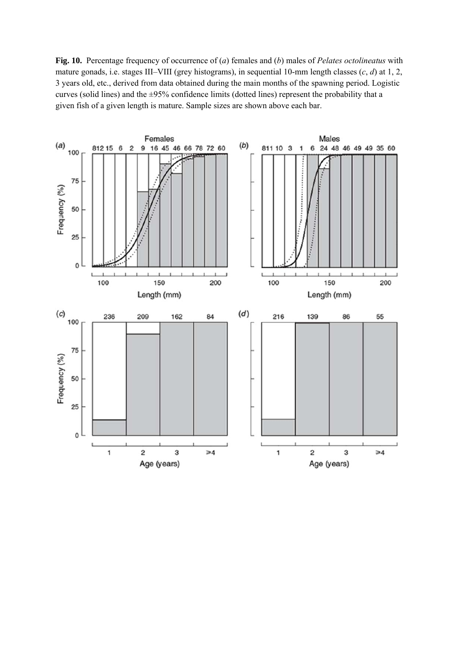**Fig. 10.** Percentage frequency of occurrence of (*a*) females and (*b*) males of *Pelates octolineatus* with mature gonads, i.e. stages III–VIII (grey histograms), in sequential 10-mm length classes (*c*, *d*) at 1, 2, 3 years old, etc., derived from data obtained during the main months of the spawning period. Logistic curves (solid lines) and the ±95% confidence limits (dotted lines) represent the probability that a given fish of a given length is mature. Sample sizes are shown above each bar.

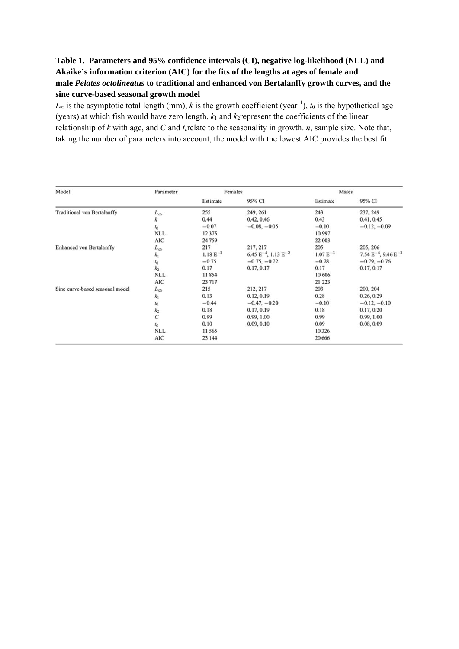## **Table 1. Parameters and 95% confidence intervals (CI), negative log-likelihood (NLL) and Akaike's information criterion (AIC) for the fits of the lengths at ages of female and male** *Pelates octolineatus* **to traditional and enhanced von Bertalanffy growth curves, and the sine curve-based seasonal growth model**

*L*∞ is the asymptotic total length (mm), *k* is the growth coefficient (year<sup>-1</sup>), *t*<sub>0</sub> is the hypothetical age (years) at which fish would have zero length,  $k_1$  and  $k_2$  represent the coefficients of the linear relationship of  $k$  with age, and  $C$  and  $t_c$  relate to the seasonality in growth.  $n$ , sample size. Note that, taking the number of parameters into account, the model with the lowest AIC provides the best fit

| Model                              | Parameter         | Females       |                               | Males         |                               |
|------------------------------------|-------------------|---------------|-------------------------------|---------------|-------------------------------|
|                                    |                   | Estimate      | 95% CI                        | Estimate      | 95% CI                        |
| <b>Traditional von Bertalanffy</b> | $L_{\infty}$      | 255           | 249, 261                      | 243           | 237, 249                      |
|                                    | k                 | 0.44          | 0.42, 0.46                    | 0.43          | 0.41, 0.45                    |
|                                    | $t_0$             | $-0.07$       | $-0.08, -0.05$                | $-0.10$       | $-0.12, -0.09$                |
|                                    | <b>NLL</b>        | 12375         |                               | 10 997        |                               |
|                                    | AIC               | 24759         |                               | 22 003        |                               |
| <b>Enhanced</b> von Bertalanffy    | $L_{\infty}$      | 217           | 217, 217                      | 205           | 205, 206                      |
|                                    | $k_1$             | $1.18 E^{-3}$ | 6.45 $E^{-4}$ , 1.13 $E^{-2}$ | $1.07 E^{-3}$ | $7.54 E^{-4}$ , $9.46 E^{-3}$ |
|                                    |                   | $-0.75$       | $-0.75, -0.72$                | $-0.78$       | $-0.79, -0.76$                |
|                                    | $\frac{t_0}{k_2}$ | 0.17          | 0.17, 0.17                    | 0.17          | 0.17, 0.17                    |
|                                    | <b>NLL</b>        | 11854         |                               | 10 60 6       |                               |
|                                    | <b>AIC</b>        | 23717         |                               | 21 223        |                               |
| Sine curve-based seasonal model    | $L_{\infty}$      | 215           | 212, 217                      | 203           | 200, 204                      |
|                                    | $k_1$             | 0.13          | 0.12, 0.19                    | 0.28          | 0.26, 0.29                    |
|                                    | $t_0$             | $-0.44$       | $-0.47, -0.20$                | $-0.10$       | $-0.12, -0.10$                |
|                                    | k <sub>2</sub>    | 0.18          | 0.17, 0.19                    | 0.18          | 0.17, 0.20                    |
|                                    | $\mathcal{C}$     | 0.99          | 0.99, 1.00                    | 0.99          | 0.99, 1.00                    |
|                                    | $t_{\rm c}$       | 0.10          | 0.09, 0.10                    | 0.09          | 0.08, 0.09                    |
|                                    | <b>NLL</b>        | 11565         |                               | 10 3 26       |                               |
|                                    | AIC               | 23 144        |                               | 20 6 66       |                               |